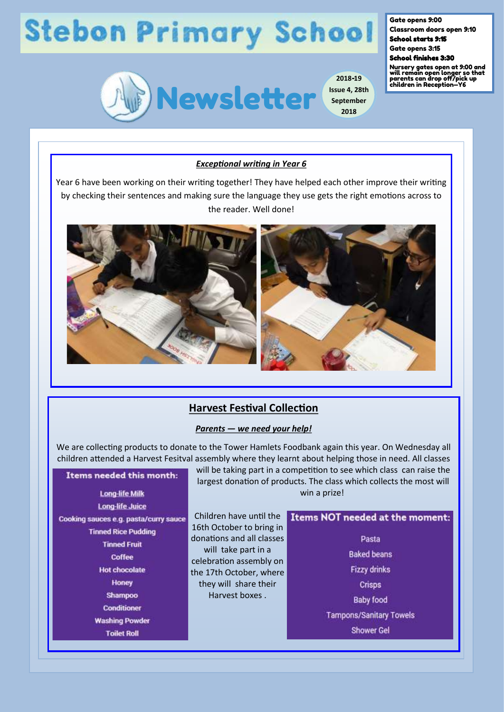# **Stebon Primary School**



**2018-19 Issue 4, 28th September**

**2018**

### Gate opens 9:00

Classroom doors open 9:10 School starts 9:15

Gate opens 3:15

School finishes 3:30

Nursery gates open at 9:00 and will remain open longer so that parents can drop off/pick up children in Reception—Y6

### *Exceptional writing in Year 6*

Year 6 have been working on their writing together! They have helped each other improve their writing by checking their sentences and making sure the language they use gets the right emotions across to the reader. Well done!



# **Harvest Festival Collection**

#### *Parents — we need your help!*

We are collecting products to donate to the Tower Hamlets Foodbank again this year. On Wednesday all children attended a Harvest Fesitval assembly where they learnt about helping those in need. All classes

## Items needed this month:

**Long-life Milk Long-life Juice** Cooking sauces e.g. pasta/curry sauce **Tinned Rice Pudding Tinned Fruit Coffee Hot chocolate** Honey Shampoo **Conditioner Washing Powder Toilet Roll** 

will be taking part in a competition to see which class can raise the largest donation of products. The class which collects the most will win a prize!

Children have until the 16th October to bring in donations and all classes will take part in a celebration assembly on the 17th October, where they will share their Harvest boxes .

## Items NOT needed at the moment:

Pasta **Baked beans Fizzy drinks** Crisps **Baby food Tampons/Sanitary Towels Shower Gel**